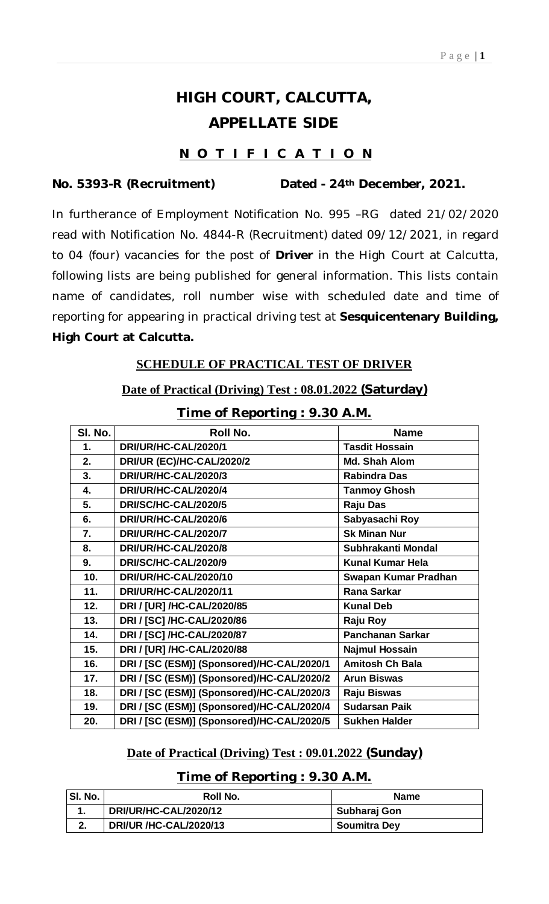# **HIGH COURT, CALCUTTA, APPELLATE SIDE**

### **N O T I F I C A T I O N**

### **No. 5393-R (Recruitment) Dated - 24th December, 2021.**

In furtherance of Employment Notification No. 995 –RG dated 21/02/2020 read with Notification No. 4844-R (Recruitment) dated 09/12/2021, in regard to 04 (four) vacancies for the post of **Driver** in the High Court at Calcutta, following lists are being published for general information. This lists contain name of candidates, roll number wise with scheduled date and time of reporting for appearing in practical driving test at **Sesquicentenary Building, High Court at Calcutta.**

#### **SCHEDULE OF PRACTICAL TEST OF DRIVER**

#### **Date of Practical (Driving) Test : 08.01.2022 (Saturday)**

| SI. No.<br>Roll No.<br><b>Name</b><br>DRI/UR/HC-CAL/2020/1<br><b>Tasdit Hossain</b><br>$\mathbf 1$ .<br>DRI/UR (EC)/HC-CAL/2020/2<br>2.<br>Md. Shah Alom<br>3.<br>DRI/UR/HC-CAL/2020/3<br><b>Rabindra Das</b><br>4.<br>DRI/UR/HC-CAL/2020/4<br><b>Tanmoy Ghosh</b><br>5.<br>DRI/SC/HC-CAL/2020/5<br><b>Raju Das</b><br>6.<br>Sabyasachi Roy<br>DRI/UR/HC-CAL/2020/6<br><b>Sk Minan Nur</b><br>7.<br>DRI/UR/HC-CAL/2020/7<br>DRI/UR/HC-CAL/2020/8<br>8.<br>Subhrakanti Mondal<br>9.<br>DRI/SC/HC-CAL/2020/9<br><b>Kunal Kumar Hela</b> |
|---------------------------------------------------------------------------------------------------------------------------------------------------------------------------------------------------------------------------------------------------------------------------------------------------------------------------------------------------------------------------------------------------------------------------------------------------------------------------------------------------------------------------------------|
|                                                                                                                                                                                                                                                                                                                                                                                                                                                                                                                                       |
|                                                                                                                                                                                                                                                                                                                                                                                                                                                                                                                                       |
|                                                                                                                                                                                                                                                                                                                                                                                                                                                                                                                                       |
|                                                                                                                                                                                                                                                                                                                                                                                                                                                                                                                                       |
|                                                                                                                                                                                                                                                                                                                                                                                                                                                                                                                                       |
|                                                                                                                                                                                                                                                                                                                                                                                                                                                                                                                                       |
|                                                                                                                                                                                                                                                                                                                                                                                                                                                                                                                                       |
|                                                                                                                                                                                                                                                                                                                                                                                                                                                                                                                                       |
|                                                                                                                                                                                                                                                                                                                                                                                                                                                                                                                                       |
|                                                                                                                                                                                                                                                                                                                                                                                                                                                                                                                                       |
| 10.<br>DRI/UR/HC-CAL/2020/10<br>Swapan Kumar Pradhan                                                                                                                                                                                                                                                                                                                                                                                                                                                                                  |
| DRI/UR/HC-CAL/2020/11<br><b>Rana Sarkar</b><br>11.                                                                                                                                                                                                                                                                                                                                                                                                                                                                                    |
| <b>Kunal Deb</b><br>12.<br>DRI / [UR] /HC-CAL/2020/85                                                                                                                                                                                                                                                                                                                                                                                                                                                                                 |
| 13.<br>DRI / [SC] /HC-CAL/2020/86<br>Raju Roy                                                                                                                                                                                                                                                                                                                                                                                                                                                                                         |
| DRI / [SC] /HC-CAL/2020/87<br><b>Panchanan Sarkar</b><br>14.                                                                                                                                                                                                                                                                                                                                                                                                                                                                          |
| DRI / [UR] /HC-CAL/2020/88<br>15.<br><b>Najmul Hossain</b>                                                                                                                                                                                                                                                                                                                                                                                                                                                                            |
| <b>Amitosh Ch Bala</b><br>16.<br>DRI / [SC (ESM)] (Sponsored)/HC-CAL/2020/1                                                                                                                                                                                                                                                                                                                                                                                                                                                           |
| DRI / [SC (ESM)] (Sponsored)/HC-CAL/2020/2<br><b>Arun Biswas</b><br>17.                                                                                                                                                                                                                                                                                                                                                                                                                                                               |
| DRI / [SC (ESM)] (Sponsored)/HC-CAL/2020/3<br>Raju Biswas<br>18.                                                                                                                                                                                                                                                                                                                                                                                                                                                                      |
| DRI / [SC (ESM)] (Sponsored)/HC-CAL/2020/4<br><b>Sudarsan Paik</b><br>19.                                                                                                                                                                                                                                                                                                                                                                                                                                                             |
| DRI / [SC (ESM)] (Sponsored)/HC-CAL/2020/5<br><b>Sukhen Halder</b><br>20.                                                                                                                                                                                                                                                                                                                                                                                                                                                             |

#### **Time of Reporting : 9.30 A.M.**

#### **Date of Practical (Driving) Test : 09.01.2022 (Sunday)**

#### **Time of Reporting : 9.30 A.M.**

| SI. No. | Roll No.                      | <b>Name</b>         |
|---------|-------------------------------|---------------------|
|         | DRI/UR/HC-CAL/2020/12         | Subharaj Gon        |
| ົ       | <b>DRI/UR /HC-CAL/2020/13</b> | <b>Soumitra Dey</b> |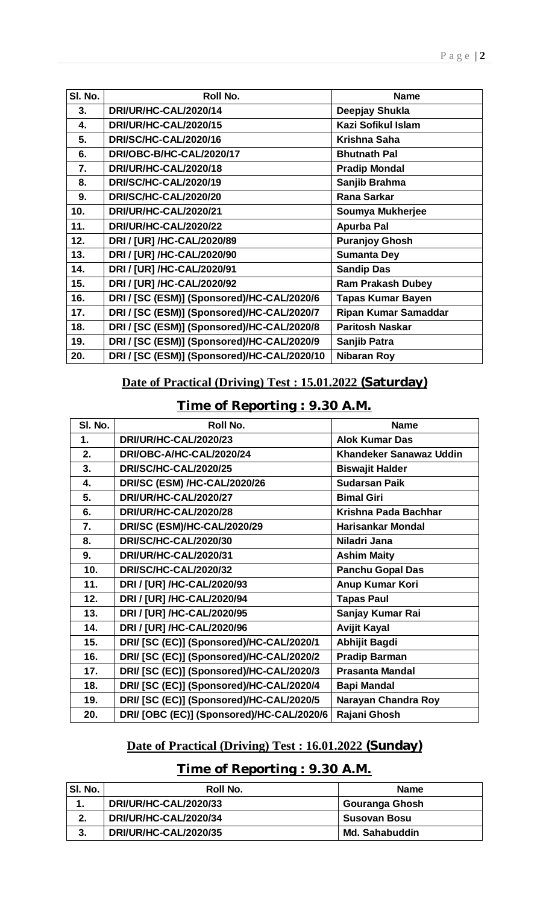| SI. No. | Roll No.                                    | <b>Name</b>                 |
|---------|---------------------------------------------|-----------------------------|
| 3.      | DRI/UR/HC-CAL/2020/14                       | Deepjay Shukla              |
| 4.      | DRI/UR/HC-CAL/2020/15                       | <b>Kazi Sofikul Islam</b>   |
| 5.      | <b>DRI/SC/HC-CAL/2020/16</b>                | Krishna Saha                |
| 6.      | DRI/OBC-B/HC-CAL/2020/17                    | <b>Bhutnath Pal</b>         |
| 7.      | <b>DRI/UR/HC-CAL/2020/18</b>                | <b>Pradip Mondal</b>        |
| 8.      | DRI/SC/HC-CAL/2020/19                       | Sanjib Brahma               |
| 9.      | DRI/SC/HC-CAL/2020/20                       | <b>Rana Sarkar</b>          |
| 10.     | DRI/UR/HC-CAL/2020/21                       | Soumya Mukherjee            |
| 11.     | DRI/UR/HC-CAL/2020/22                       | <b>Apurba Pal</b>           |
| 12.     | DRI / [UR] /HC-CAL/2020/89                  | <b>Puranjoy Ghosh</b>       |
| 13.     | DRI / [UR] /HC-CAL/2020/90                  | <b>Sumanta Dey</b>          |
| 14.     | DRI / [UR] /HC-CAL/2020/91                  | <b>Sandip Das</b>           |
| 15.     | DRI / [UR] /HC-CAL/2020/92                  | <b>Ram Prakash Dubey</b>    |
| 16.     | DRI / [SC (ESM)] (Sponsored)/HC-CAL/2020/6  | <b>Tapas Kumar Bayen</b>    |
| 17.     | DRI / [SC (ESM)] (Sponsored)/HC-CAL/2020/7  | <b>Ripan Kumar Samaddar</b> |
| 18.     | DRI / [SC (ESM)] (Sponsored)/HC-CAL/2020/8  | <b>Paritosh Naskar</b>      |
| 19.     | DRI / [SC (ESM)] (Sponsored)/HC-CAL/2020/9  | Sanjib Patra                |
| 20.     | DRI / [SC (ESM)] (Sponsored)/HC-CAL/2020/10 | <b>Nibaran Roy</b>          |

# **Date of Practical (Driving) Test : 15.01.2022 (Saturday)**

# **Time of Reporting : 9.30 A.M.**

| SI. No. | Roll No.                                  | <b>Name</b>                    |
|---------|-------------------------------------------|--------------------------------|
| 1.      | DRI/UR/HC-CAL/2020/23                     | <b>Alok Kumar Das</b>          |
| 2.      | DRI/OBC-A/HC-CAL/2020/24                  | <b>Khandeker Sanawaz Uddin</b> |
| 3.      | <b>DRI/SC/HC-CAL/2020/25</b>              | <b>Biswajit Halder</b>         |
| 4.      | <b>DRI/SC (ESM) /HC-CAL/2020/26</b>       | <b>Sudarsan Paik</b>           |
| 5.      | DRI/UR/HC-CAL/2020/27                     | <b>Bimal Giri</b>              |
| 6.      | DRI/UR/HC-CAL/2020/28                     | Krishna Pada Bachhar           |
| 7.      | DRI/SC (ESM)/HC-CAL/2020/29               | <b>Harisankar Mondal</b>       |
| 8.      | <b>DRI/SC/HC-CAL/2020/30</b>              | Niladri Jana                   |
| 9.      | DRI/UR/HC-CAL/2020/31                     | <b>Ashim Maity</b>             |
| 10.     | DRI/SC/HC-CAL/2020/32                     | <b>Panchu Gopal Das</b>        |
| 11.     | DRI / [UR] /HC-CAL/2020/93                | Anup Kumar Kori                |
| 12.     | DRI / [UR] /HC-CAL/2020/94                | <b>Tapas Paul</b>              |
| 13.     | DRI / [UR] /HC-CAL/2020/95                | Sanjay Kumar Rai               |
| 14.     | DRI / [UR] /HC-CAL/2020/96                | <b>Avijit Kayal</b>            |
| 15.     | DRI/ [SC (EC)] (Sponsored)/HC-CAL/2020/1  | Abhijit Bagdi                  |
| 16.     | DRI/ [SC (EC)] (Sponsored)/HC-CAL/2020/2  | <b>Pradip Barman</b>           |
| 17.     | DRI/ [SC (EC)] (Sponsored)/HC-CAL/2020/3  | <b>Prasanta Mandal</b>         |
| 18.     | DRI/ [SC (EC)] (Sponsored)/HC-CAL/2020/4  | <b>Bapi Mandal</b>             |
| 19.     | DRI/ [SC (EC)] (Sponsored)/HC-CAL/2020/5  | Narayan Chandra Roy            |
| 20.     | DRI/ [OBC (EC)] (Sponsored)/HC-CAL/2020/6 | Rajani Ghosh                   |

# **Date of Practical (Driving) Test : 16.01.2022 (Sunday)**

# **Time of Reporting : 9.30 A.M.**

| SI. No. | Roll No.              | <b>Name</b>           |
|---------|-----------------------|-----------------------|
|         | DRI/UR/HC-CAL/2020/33 | Gouranga Ghosh        |
| 2.      | DRI/UR/HC-CAL/2020/34 | <b>Susovan Bosu</b>   |
| -3.     | DRI/UR/HC-CAL/2020/35 | <b>Md. Sahabuddin</b> |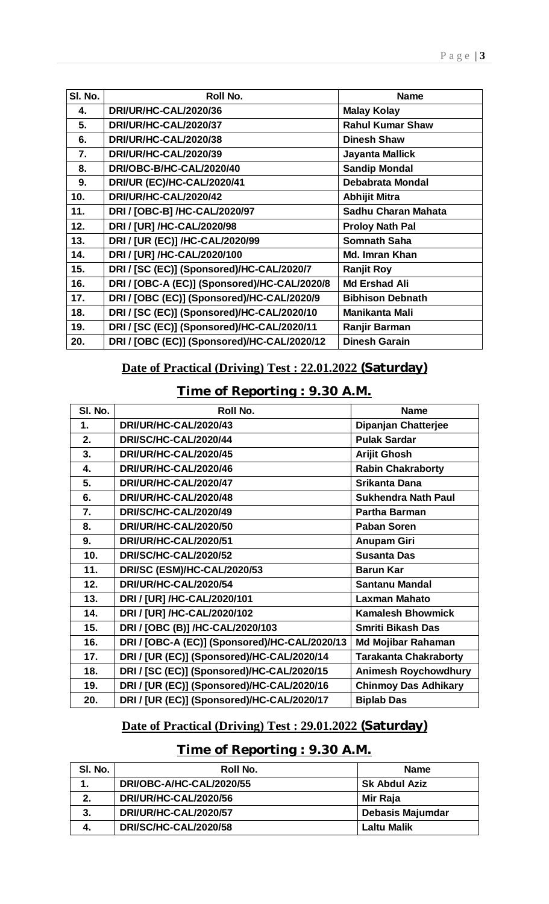| SI. No. | Roll No.                                     | <b>Name</b>             |
|---------|----------------------------------------------|-------------------------|
| 4.      | DRI/UR/HC-CAL/2020/36                        | <b>Malay Kolay</b>      |
| 5.      | DRI/UR/HC-CAL/2020/37                        | <b>Rahul Kumar Shaw</b> |
| 6.      | <b>DRI/UR/HC-CAL/2020/38</b>                 | <b>Dinesh Shaw</b>      |
| 7.      | DRI/UR/HC-CAL/2020/39                        | <b>Jayanta Mallick</b>  |
| 8.      | DRI/OBC-B/HC-CAL/2020/40                     | <b>Sandip Mondal</b>    |
| 9.      | DRI/UR (EC)/HC-CAL/2020/41                   | <b>Debabrata Mondal</b> |
| 10.     | DRI/UR/HC-CAL/2020/42                        | <b>Abhijit Mitra</b>    |
| 11.     | DRI / [OBC-B] /HC-CAL/2020/97                | Sadhu Charan Mahata     |
| 12.     | DRI / [UR] /HC-CAL/2020/98                   | <b>Proloy Nath Pal</b>  |
| 13.     | DRI / [UR (EC)] /HC-CAL/2020/99              | <b>Somnath Saha</b>     |
| 14.     | DRI / [UR] /HC-CAL/2020/100                  | Md. Imran Khan          |
| 15.     | DRI / [SC (EC)] (Sponsored)/HC-CAL/2020/7    | <b>Ranjit Roy</b>       |
| 16.     | DRI / [OBC-A (EC)] (Sponsored)/HC-CAL/2020/8 | <b>Md Ershad Ali</b>    |
| 17.     | DRI / [OBC (EC)] (Sponsored)/HC-CAL/2020/9   | <b>Bibhison Debnath</b> |
| 18.     | DRI / [SC (EC)] (Sponsored)/HC-CAL/2020/10   | <b>Manikanta Mali</b>   |
| 19.     | DRI / [SC (EC)] (Sponsored)/HC-CAL/2020/11   | Ranjir Barman           |
| 20.     | DRI / [OBC (EC)] (Sponsored)/HC-CAL/2020/12  | <b>Dinesh Garain</b>    |

# **Date of Practical (Driving) Test : 22.01.2022 (Saturday)**

**Time of Reporting : 9.30 A.M.**

| SI. No. | Roll No.                                      | <b>Name</b>                  |
|---------|-----------------------------------------------|------------------------------|
| 1.      | DRI/UR/HC-CAL/2020/43                         | <b>Dipanjan Chatterjee</b>   |
| 2.      | DRI/SC/HC-CAL/2020/44                         | <b>Pulak Sardar</b>          |
| 3.      | <b>DRI/UR/HC-CAL/2020/45</b>                  | <b>Arijit Ghosh</b>          |
| 4.      | DRI/UR/HC-CAL/2020/46                         | <b>Rabin Chakraborty</b>     |
| 5.      | DRI/UR/HC-CAL/2020/47                         | <b>Srikanta Dana</b>         |
| 6.      | DRI/UR/HC-CAL/2020/48                         | <b>Sukhendra Nath Paul</b>   |
| 7.      | DRI/SC/HC-CAL/2020/49                         | <b>Partha Barman</b>         |
| 8.      | <b>DRI/UR/HC-CAL/2020/50</b>                  | <b>Paban Soren</b>           |
| 9.      | <b>DRI/UR/HC-CAL/2020/51</b>                  | <b>Anupam Giri</b>           |
| 10.     | <b>DRI/SC/HC-CAL/2020/52</b>                  | <b>Susanta Das</b>           |
| 11.     | DRI/SC (ESM)/HC-CAL/2020/53                   | <b>Barun Kar</b>             |
| 12.     | <b>DRI/UR/HC-CAL/2020/54</b>                  | <b>Santanu Mandal</b>        |
| 13.     | DRI / [UR] /HC-CAL/2020/101                   | <b>Laxman Mahato</b>         |
| 14.     | DRI / [UR] /HC-CAL/2020/102                   | <b>Kamalesh Bhowmick</b>     |
| 15.     | DRI / [OBC (B)] /HC-CAL/2020/103              | <b>Smriti Bikash Das</b>     |
| 16.     | DRI / [OBC-A (EC)] (Sponsored)/HC-CAL/2020/13 | <b>Md Mojibar Rahaman</b>    |
| 17.     | DRI / [UR (EC)] (Sponsored)/HC-CAL/2020/14    | <b>Tarakanta Chakraborty</b> |
| 18.     | DRI / [SC (EC)] (Sponsored)/HC-CAL/2020/15    | <b>Animesh Roychowdhury</b>  |
| 19.     | DRI / [UR (EC)] (Sponsored)/HC-CAL/2020/16    | <b>Chinmoy Das Adhikary</b>  |
| 20.     | DRI / [UR (EC)] (Sponsored)/HC-CAL/2020/17    | <b>Biplab Das</b>            |

# **Date of Practical (Driving) Test : 29.01.2022 (Saturday)**

# **Time of Reporting : 9.30 A.M.**

| SI. No. | Roll No.                 | <b>Name</b>             |
|---------|--------------------------|-------------------------|
|         | DRI/OBC-A/HC-CAL/2020/55 | <b>Sk Abdul Aziz</b>    |
| 2.      | DRI/UR/HC-CAL/2020/56    | Mir Raja                |
| 3.      | DRI/UR/HC-CAL/2020/57    | <b>Debasis Majumdar</b> |
| -4.     | DRI/SC/HC-CAL/2020/58    | Laltu Malik             |